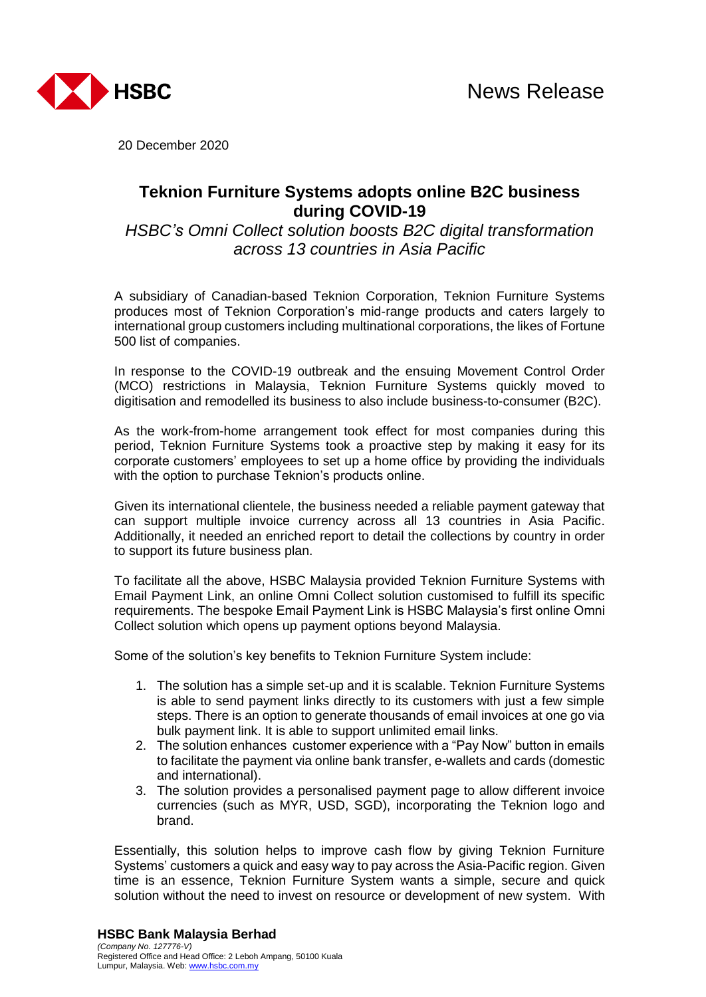

20 December 2020

# **Teknion Furniture Systems adopts online B2C business during COVID-19**

*HSBC's Omni Collect solution boosts B2C digital transformation across 13 countries in Asia Pacific*

A subsidiary of Canadian-based Teknion Corporation, Teknion Furniture Systems produces most of Teknion Corporation's mid-range products and caters largely to international group customers including multinational corporations, the likes of Fortune 500 list of companies.

In response to the COVID-19 outbreak and the ensuing Movement Control Order (MCO) restrictions in Malaysia, Teknion Furniture Systems quickly moved to digitisation and remodelled its business to also include business-to-consumer (B2C).

As the work-from-home arrangement took effect for most companies during this period, Teknion Furniture Systems took a proactive step by making it easy for its corporate customers' employees to set up a home office by providing the individuals with the option to purchase Teknion's products online.

Given its international clientele, the business needed a reliable payment gateway that can support multiple invoice currency across all 13 countries in Asia Pacific. Additionally, it needed an enriched report to detail the collections by country in order to support its future business plan.

To facilitate all the above, HSBC Malaysia provided Teknion Furniture Systems with Email Payment Link, an online Omni Collect solution customised to fulfill its specific requirements. The bespoke Email Payment Link is HSBC Malaysia's first online Omni Collect solution which opens up payment options beyond Malaysia.

Some of the solution's key benefits to Teknion Furniture System include:

- 1. The solution has a simple set-up and it is scalable. Teknion Furniture Systems is able to send payment links directly to its customers with just a few simple steps. There is an option to generate thousands of email invoices at one go via bulk payment link. It is able to support unlimited email links.
- 2. The solution enhances customer experience with a "Pay Now" button in emails to facilitate the payment via online bank transfer, e-wallets and cards (domestic and international).
- 3. The solution provides a personalised payment page to allow different invoice currencies (such as MYR, USD, SGD), incorporating the Teknion logo and brand.

Essentially, this solution helps to improve cash flow by giving Teknion Furniture Systems' customers a quick and easy way to pay across the Asia-Pacific region. Given time is an essence, Teknion Furniture System wants a simple, secure and quick solution without the need to invest on resource or development of new system. With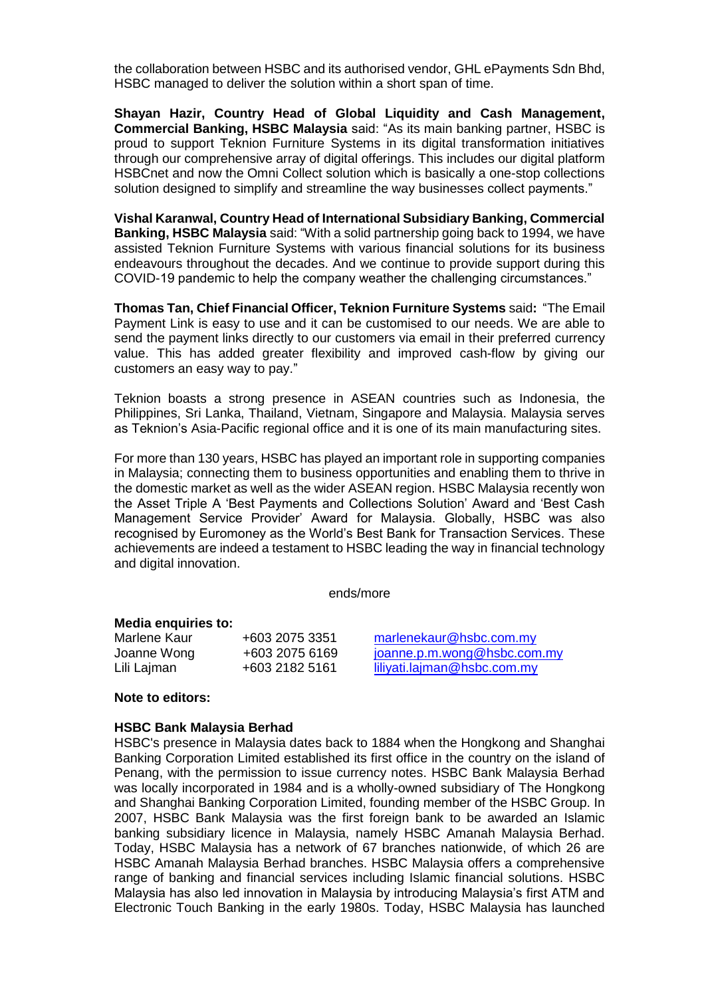the collaboration between HSBC and its authorised vendor, GHL ePayments Sdn Bhd, HSBC managed to deliver the solution within a short span of time.

**Shayan Hazir, Country Head of Global Liquidity and Cash Management, Commercial Banking, HSBC Malaysia** said: "As its main banking partner, HSBC is proud to support Teknion Furniture Systems in its digital transformation initiatives through our comprehensive array of digital offerings. This includes our digital platform HSBCnet and now the Omni Collect solution which is basically a one-stop collections solution designed to simplify and streamline the way businesses collect payments."

**Vishal Karanwal, Country Head of International Subsidiary Banking, Commercial Banking, HSBC Malaysia** said: "With a solid partnership going back to 1994, we have assisted Teknion Furniture Systems with various financial solutions for its business endeavours throughout the decades. And we continue to provide support during this COVID-19 pandemic to help the company weather the challenging circumstances."

**Thomas Tan, Chief Financial Officer, Teknion Furniture Systems** said**:** "The Email Payment Link is easy to use and it can be customised to our needs. We are able to send the payment links directly to our customers via email in their preferred currency value. This has added greater flexibility and improved cash-flow by giving our customers an easy way to pay."

Teknion boasts a strong presence in ASEAN countries such as Indonesia, the Philippines, Sri Lanka, Thailand, Vietnam, Singapore and Malaysia. Malaysia serves as Teknion's Asia-Pacific regional office and it is one of its main manufacturing sites.

For more than 130 years, HSBC has played an important role in supporting companies in Malaysia; connecting them to business opportunities and enabling them to thrive in the domestic market as well as the wider ASEAN region. HSBC Malaysia recently won the Asset Triple A 'Best Payments and Collections Solution' Award and 'Best Cash Management Service Provider' Award for Malaysia. Globally, HSBC was also recognised by Euromoney as the World's Best Bank for Transaction Services. These achievements are indeed a testament to HSBC leading the way in financial technology and digital innovation.

ends/more

### **Media enquiries to:**

| Marlene Kaur | +603 2075 3351 | mar           |
|--------------|----------------|---------------|
| Joanne Wong  | +603 2075 6169 | joan          |
| Lili Lajman  | +603 2182 5161 | <u>liliya</u> |

lenekaur@hsbc.com.my  $\mathsf{S}$ ne.p.m.wong@hsbc.com.my Lili Lajman +603 2182 5161 [liliyati.lajman@hsbc.com.my](mailto:liliyati.lajman@hsbc.com.my)

## **Note to editors:**

#### **HSBC Bank Malaysia Berhad**

HSBC's presence in Malaysia dates back to 1884 when the Hongkong and Shanghai Banking Corporation Limited established its first office in the country on the island of Penang, with the permission to issue currency notes. HSBC Bank Malaysia Berhad was locally incorporated in 1984 and is a wholly-owned subsidiary of The Hongkong and Shanghai Banking Corporation Limited, founding member of the HSBC Group. In 2007, HSBC Bank Malaysia was the first foreign bank to be awarded an Islamic banking subsidiary licence in Malaysia, namely HSBC Amanah Malaysia Berhad. Today, HSBC Malaysia has a network of 67 branches nationwide, of which 26 are HSBC Amanah Malaysia Berhad branches. HSBC Malaysia offers a comprehensive range of banking and financial services including Islamic financial solutions. HSBC Malaysia has also led innovation in Malaysia by introducing Malaysia's first ATM and Electronic Touch Banking in the early 1980s. Today, HSBC Malaysia has launched